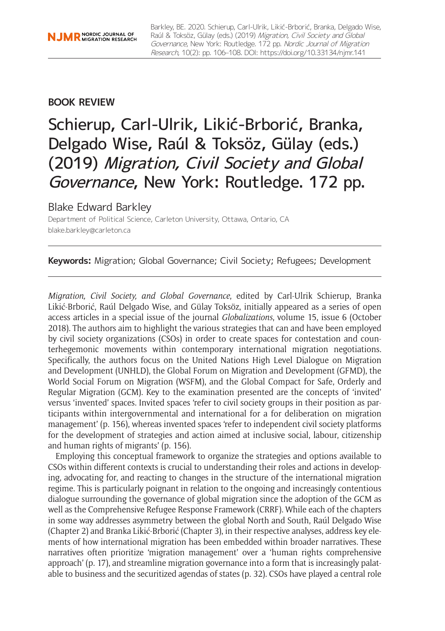Barkley, BE. 2020. Schierup, Carl-Ulrik, Likić-Brborić, Branka, Delgado Wise, Raúl & Toksöz, Gülay (eds.) (2019) Migration, Civil Society and Global Governance, New York: Routledge. 172 pp. Nordic Journal of Migration Research, 10(2): pp. 106–108. DOI:<https://doi.org/10.33134/njmr.141>

### **BOOK REVIEW**

# Schierup, Carl-Ulrik, Likić-Brborić, Branka, Delgado Wise, Raúl & Toksöz, Gülay (eds.) (2019) Migration, Civil Society and Global Governance, New York: Routledge. 172 pp.

## Blake Edward Barkley

Department of Political Science, Carleton University, Ottawa, Ontario, CA [blake.barkley@carleton.ca](mailto:blake.barkley@carleton.ca)

**Keywords:** Migration; Global Governance; Civil Society; Refugees; Development

*Migration, Civil Society, and Global Governance*, edited by Carl-Ulrik Schierup, Branka Likić-Brborić, Raúl Delgado Wise, and Gülay Toksöz, initially appeared as a series of open access articles in a special issue of the journal *Globalizations*, volume 15, issue 6 (October 2018). The authors aim to highlight the various strategies that can and have been employed by civil society organizations (CSOs) in order to create spaces for contestation and counterhegemonic movements within contemporary international migration negotiations. Specifically, the authors focus on the United Nations High Level Dialogue on Migration and Development (UNHLD), the Global Forum on Migration and Development (GFMD), the World Social Forum on Migration (WSFM), and the Global Compact for Safe, Orderly and Regular Migration (GCM). Key to the examination presented are the concepts of 'invited' versus 'invented' spaces. Invited spaces 'refer to civil society groups in their position as participants within intergovernmental and international for a for deliberation on migration management' (p. 156), whereas invented spaces 'refer to independent civil society platforms for the development of strategies and action aimed at inclusive social, labour, citizenship and human rights of migrants' (p. 156).

Employing this conceptual framework to organize the strategies and options available to CSOs within different contexts is crucial to understanding their roles and actions in developing, advocating for, and reacting to changes in the structure of the international migration regime. This is particularly poignant in relation to the ongoing and increasingly contentious dialogue surrounding the governance of global migration since the adoption of the GCM as well as the Comprehensive Refugee Response Framework (CRRF). While each of the chapters in some way addresses asymmetry between the global North and South, Raúl Delgado Wise (Chapter 2) and Branka Likić-Brborić (Chapter 3), in their respective analyses, address key elements of how international migration has been embedded within broader narratives. These narratives often prioritize 'migration management' over a 'human rights comprehensive approach' (p. 17), and streamline migration governance into a form that is increasingly palatable to business and the securitized agendas of states (p. 32). CSOs have played a central role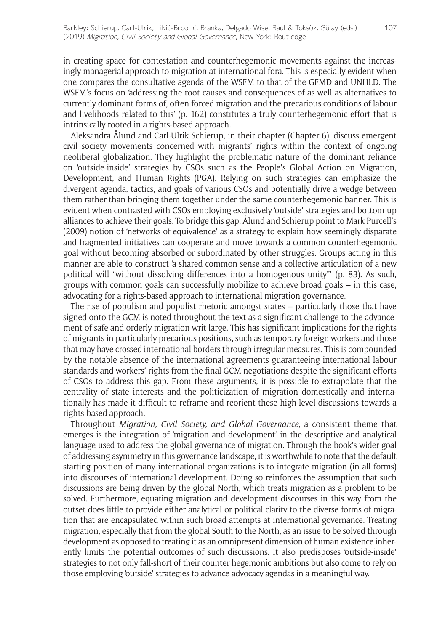in creating space for contestation and counterhegemonic movements against the increasingly managerial approach to migration at international fora. This is especially evident when one compares the consultative agenda of the WSFM to that of the GFMD and UNHLD. The WSFM's focus on 'addressing the root causes and consequences of as well as alternatives to currently dominant forms of, often forced migration and the precarious conditions of labour and livelihoods related to this' (p. 162) constitutes a truly counterhegemonic effort that is intrinsically rooted in a rights-based approach.

Aleksandra Ålund and Carl-Ulrik Schierup, in their chapter (Chapter 6), discuss emergent civil society movements concerned with migrants' rights within the context of ongoing neoliberal globalization. They highlight the problematic nature of the dominant reliance on 'outside-inside' strategies by CSOs such as the People's Global Action on Migration, Development, and Human Rights (PGA). Relying on such strategies can emphasize the divergent agenda, tactics, and goals of various CSOs and potentially drive a wedge between them rather than bringing them together under the same counterhegemonic banner. This is evident when contrasted with CSOs employing exclusively 'outside' strategies and bottom-up alliances to achieve their goals. To bridge this gap, Ålund and Schierup point to Mark Purcell's (2009) notion of 'networks of equivalence' as a strategy to explain how seemingly disparate and fragmented initiatives can cooperate and move towards a common counterhegemonic goal without becoming absorbed or subordinated by other struggles. Groups acting in this manner are able to construct 'a shared common sense and a collective articulation of a new political will "without dissolving differences into a homogenous unity"' (p. 83). As such, groups with common goals can successfully mobilize to achieve broad goals – in this case, advocating for a rights-based approach to international migration governance.

The rise of populism and populist rhetoric amongst states – particularly those that have signed onto the GCM is noted throughout the text as a significant challenge to the advancement of safe and orderly migration writ large. This has significant implications for the rights of migrants in particularly precarious positions, such as temporary foreign workers and those that may have crossed international borders through irregular measures. This is compounded by the notable absence of the international agreements guaranteeing international labour standards and workers' rights from the final GCM negotiations despite the significant efforts of CSOs to address this gap. From these arguments, it is possible to extrapolate that the centrality of state interests and the politicization of migration domestically and internationally has made it difficult to reframe and reorient these high-level discussions towards a rights-based approach.

Throughout *Migration, Civil Society, and Global Governance*, a consistent theme that emerges is the integration of 'migration and development' in the descriptive and analytical language used to address the global governance of migration. Through the book's wider goal of addressing asymmetry in this governance landscape, it is worthwhile to note that the default starting position of many international organizations is to integrate migration (in all forms) into discourses of international development. Doing so reinforces the assumption that such discussions are being driven by the global North, which treats migration as a problem to be solved. Furthermore, equating migration and development discourses in this way from the outset does little to provide either analytical or political clarity to the diverse forms of migration that are encapsulated within such broad attempts at international governance. Treating migration, especially that from the global South to the North, as an issue to be solved through development as opposed to treating it as an omnipresent dimension of human existence inherently limits the potential outcomes of such discussions. It also predisposes 'outside-inside' strategies to not only fall-short of their counter hegemonic ambitions but also come to rely on those employing 'outside' strategies to advance advocacy agendas in a meaningful way.